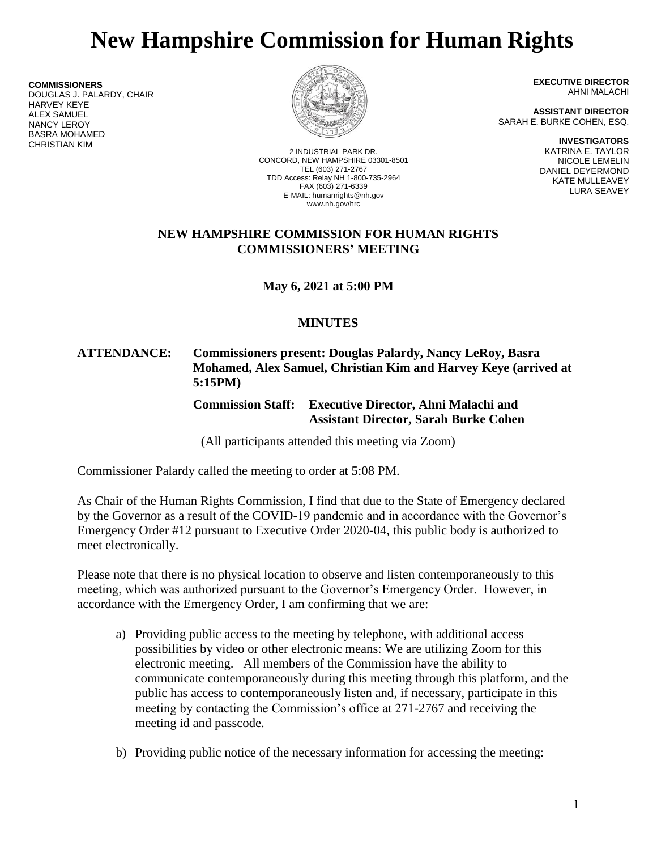# **New Hampshire Commission for Human Rights**

**COMMISSIONERS** DOUGLAS J. PALARDY, CHAIR HARVEY KEYE ALEX SAMUEL NANCY LEROY BASRA MOHAMED CHRISTIAN KIM



2 INDUSTRIAL PARK DR. CONCORD, NEW HAMPSHIRE 03301-8501 TEL (603) 271-2767 TDD Access: Relay NH 1-800-735-2964 FAX (603) 271-6339 E-MAIL: humanrights@nh.gov www.nh.gov/hrc

**EXECUTIVE DIRECTOR** AHNI MALACHI

**ASSISTANT DIRECTOR** SARAH E. BURKE COHEN, ESQ.

> **INVESTIGATORS** KATRINA E. TAYLOR NICOLE LEMELIN DANIEL DEYERMOND KATE MULLEAVEY LURA SEAVEY

## **NEW HAMPSHIRE COMMISSION FOR HUMAN RIGHTS COMMISSIONERS' MEETING**

**May 6, 2021 at 5:00 PM**

## **MINUTES**

## **ATTENDANCE: Commissioners present: Douglas Palardy, Nancy LeRoy, Basra Mohamed, Alex Samuel, Christian Kim and Harvey Keye (arrived at 5:15PM)**

**Commission Staff: Executive Director, Ahni Malachi and Assistant Director, Sarah Burke Cohen**

(All participants attended this meeting via Zoom)

Commissioner Palardy called the meeting to order at 5:08 PM.

As Chair of the Human Rights Commission, I find that due to the State of Emergency declared by the Governor as a result of the COVID-19 pandemic and in accordance with the Governor's Emergency Order #12 pursuant to Executive Order 2020-04, this public body is authorized to meet electronically.

Please note that there is no physical location to observe and listen contemporaneously to this meeting, which was authorized pursuant to the Governor's Emergency Order. However, in accordance with the Emergency Order, I am confirming that we are:

- a) Providing public access to the meeting by telephone, with additional access possibilities by video or other electronic means: We are utilizing Zoom for this electronic meeting. All members of the Commission have the ability to communicate contemporaneously during this meeting through this platform, and the public has access to contemporaneously listen and, if necessary, participate in this meeting by contacting the Commission's office at 271-2767 and receiving the meeting id and passcode.
- b) Providing public notice of the necessary information for accessing the meeting: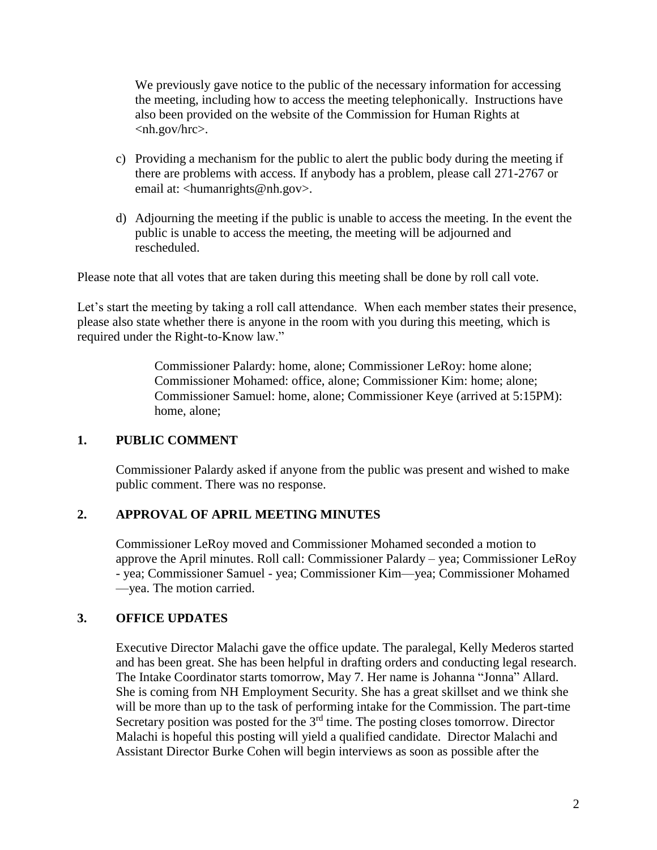We previously gave notice to the public of the necessary information for accessing the meeting, including how to access the meeting telephonically. Instructions have also been provided on the website of the Commission for Human Rights at <nh.gov/hrc>.

- c) Providing a mechanism for the public to alert the public body during the meeting if there are problems with access. If anybody has a problem, please call 271-2767 or email at: <humanrights@nh.gov>.
- d) Adjourning the meeting if the public is unable to access the meeting. In the event the public is unable to access the meeting, the meeting will be adjourned and rescheduled.

Please note that all votes that are taken during this meeting shall be done by roll call vote.

Let's start the meeting by taking a roll call attendance. When each member states their presence, please also state whether there is anyone in the room with you during this meeting, which is required under the Right-to-Know law."

> Commissioner Palardy: home, alone; Commissioner LeRoy: home alone; Commissioner Mohamed: office, alone; Commissioner Kim: home; alone; Commissioner Samuel: home, alone; Commissioner Keye (arrived at 5:15PM): home, alone;

#### **1. PUBLIC COMMENT**

Commissioner Palardy asked if anyone from the public was present and wished to make public comment. There was no response.

## **2. APPROVAL OF APRIL MEETING MINUTES**

Commissioner LeRoy moved and Commissioner Mohamed seconded a motion to approve the April minutes. Roll call: Commissioner Palardy – yea; Commissioner LeRoy - yea; Commissioner Samuel - yea; Commissioner Kim—yea; Commissioner Mohamed —yea. The motion carried.

## **3. OFFICE UPDATES**

Executive Director Malachi gave the office update. The paralegal, Kelly Mederos started and has been great. She has been helpful in drafting orders and conducting legal research. The Intake Coordinator starts tomorrow, May 7. Her name is Johanna "Jonna" Allard. She is coming from NH Employment Security. She has a great skillset and we think she will be more than up to the task of performing intake for the Commission. The part-time Secretary position was posted for the 3<sup>rd</sup> time. The posting closes tomorrow. Director Malachi is hopeful this posting will yield a qualified candidate. Director Malachi and Assistant Director Burke Cohen will begin interviews as soon as possible after the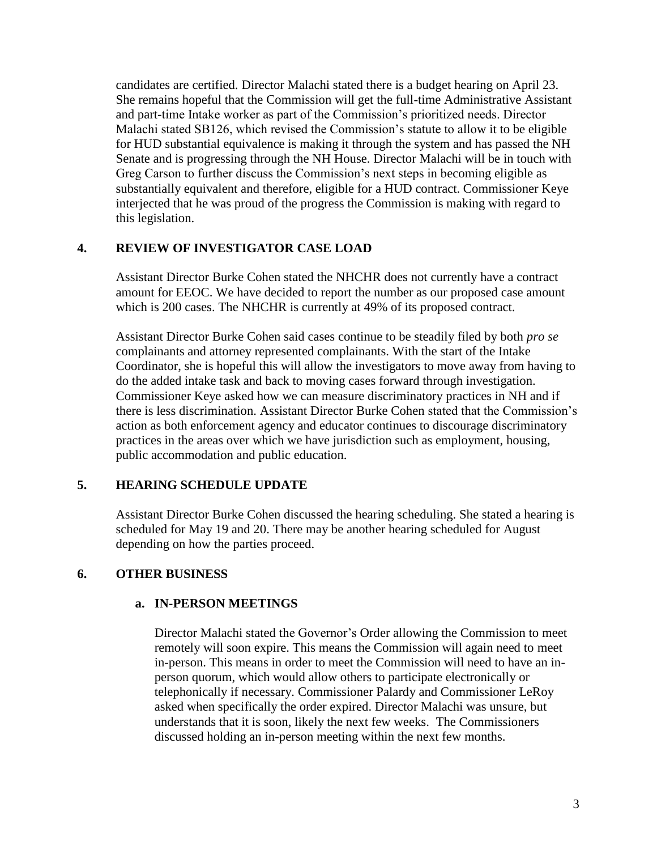candidates are certified. Director Malachi stated there is a budget hearing on April 23. She remains hopeful that the Commission will get the full-time Administrative Assistant and part-time Intake worker as part of the Commission's prioritized needs. Director Malachi stated SB126, which revised the Commission's statute to allow it to be eligible for HUD substantial equivalence is making it through the system and has passed the NH Senate and is progressing through the NH House. Director Malachi will be in touch with Greg Carson to further discuss the Commission's next steps in becoming eligible as substantially equivalent and therefore, eligible for a HUD contract. Commissioner Keye interjected that he was proud of the progress the Commission is making with regard to this legislation.

#### **4. REVIEW OF INVESTIGATOR CASE LOAD**

Assistant Director Burke Cohen stated the NHCHR does not currently have a contract amount for EEOC. We have decided to report the number as our proposed case amount which is 200 cases. The NHCHR is currently at 49% of its proposed contract.

Assistant Director Burke Cohen said cases continue to be steadily filed by both *pro se* complainants and attorney represented complainants. With the start of the Intake Coordinator, she is hopeful this will allow the investigators to move away from having to do the added intake task and back to moving cases forward through investigation. Commissioner Keye asked how we can measure discriminatory practices in NH and if there is less discrimination. Assistant Director Burke Cohen stated that the Commission's action as both enforcement agency and educator continues to discourage discriminatory practices in the areas over which we have jurisdiction such as employment, housing, public accommodation and public education.

## **5. HEARING SCHEDULE UPDATE**

Assistant Director Burke Cohen discussed the hearing scheduling. She stated a hearing is scheduled for May 19 and 20. There may be another hearing scheduled for August depending on how the parties proceed.

## **6. OTHER BUSINESS**

#### **a. IN-PERSON MEETINGS**

Director Malachi stated the Governor's Order allowing the Commission to meet remotely will soon expire. This means the Commission will again need to meet in-person. This means in order to meet the Commission will need to have an inperson quorum, which would allow others to participate electronically or telephonically if necessary. Commissioner Palardy and Commissioner LeRoy asked when specifically the order expired. Director Malachi was unsure, but understands that it is soon, likely the next few weeks. The Commissioners discussed holding an in-person meeting within the next few months.